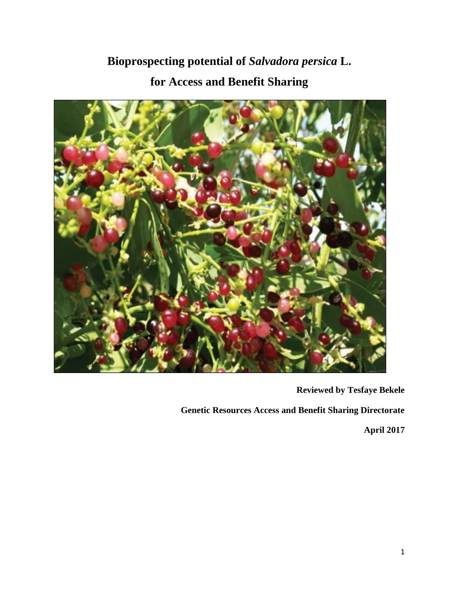# **Bioprospecting potential of** *Salvadora persica* **L. for Access and Benefit Sharing**



**Reviewed by Tesfaye Bekele**

**Genetic Resources Access and Benefit Sharing Directorate**

**April 2017**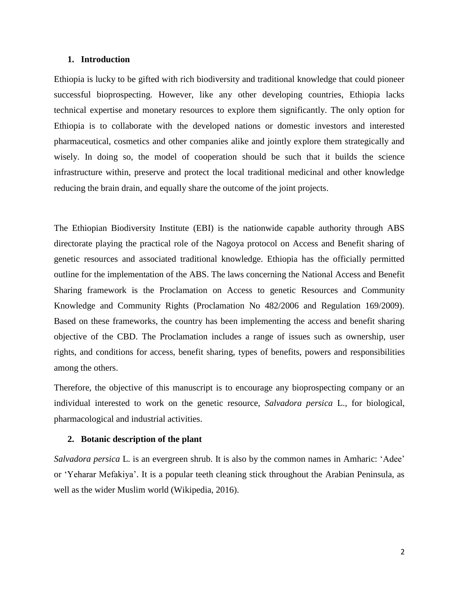#### **1. Introduction**

Ethiopia is lucky to be gifted with rich biodiversity and traditional knowledge that could pioneer successful bioprospecting. However, like any other developing countries, Ethiopia lacks technical expertise and monetary resources to explore them significantly. The only option for Ethiopia is to collaborate with the developed nations or domestic investors and interested pharmaceutical, cosmetics and other companies alike and jointly explore them strategically and wisely. In doing so, the model of cooperation should be such that it builds the science infrastructure within, preserve and protect the local traditional medicinal and other knowledge reducing the brain drain, and equally share the outcome of the joint projects.

The Ethiopian Biodiversity Institute (EBI) is the nationwide capable authority through ABS directorate playing the practical role of the Nagoya protocol on Access and Benefit sharing of genetic resources and associated traditional knowledge. Ethiopia has the officially permitted outline for the implementation of the ABS. The laws concerning the National Access and Benefit Sharing framework is the Proclamation on Access to genetic Resources and Community Knowledge and Community Rights (Proclamation No 482/2006 and Regulation 169/2009). Based on these frameworks, the country has been implementing the access and benefit sharing objective of the CBD. The Proclamation includes a range of issues such as ownership, user rights, and conditions for access, benefit sharing, types of benefits, powers and responsibilities among the others.

Therefore, the objective of this manuscript is to encourage any bioprospecting company or an individual interested to work on the genetic resource, *Salvadora persica* L.*,* for biological, pharmacological and industrial activities.

#### **2. Botanic description of the plant**

*Salvadora persica* L. is an evergreen shrub. It is also by the common names in Amharic: 'Adee' or 'Yeharar Mefakiya'. It is a popular teeth cleaning stick throughout the Arabian Peninsula, as well as the wider Muslim world (Wikipedia, 2016).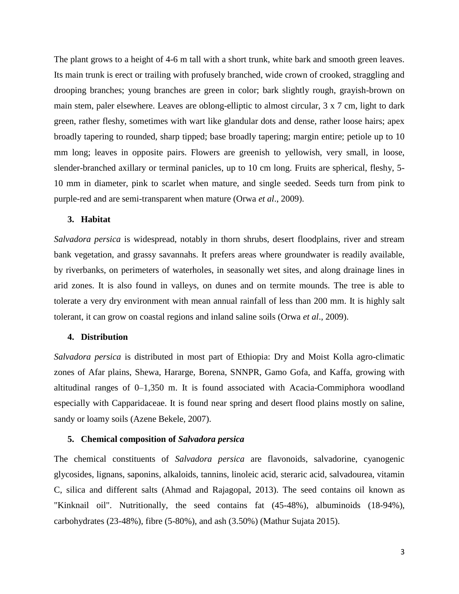The plant grows to a height of 4-6 m tall with a short trunk, white bark and smooth green leaves. Its main trunk is erect or trailing with profusely branched, wide crown of crooked, straggling and drooping branches; young branches are green in color; bark slightly rough, grayish-brown on main stem, paler elsewhere. Leaves are oblong-elliptic to almost circular, 3 x 7 cm, light to dark green, rather fleshy, sometimes with wart like glandular dots and dense, rather loose hairs; apex broadly tapering to rounded, sharp tipped; base broadly tapering; margin entire; petiole up to 10 mm long; leaves in opposite pairs. Flowers are greenish to yellowish, very small, in loose, slender-branched axillary or terminal panicles, up to 10 cm long. Fruits are spherical, fleshy, 5- 10 mm in diameter, pink to scarlet when mature, and single seeded. Seeds turn from pink to purple-red and are semi-transparent when mature (Orwa *et al*., 2009).

#### **3. Habitat**

*Salvadora persica* is widespread, notably in thorn shrubs, desert floodplains, river and stream bank vegetation, and grassy savannahs. It prefers areas where groundwater is readily available, by riverbanks, on perimeters of waterholes, in seasonally wet sites, and along drainage lines in arid zones. It is also found in valleys, on dunes and on termite mounds. The tree is able to tolerate a very dry environment with mean annual rainfall of less than 200 mm. It is highly salt tolerant, it can grow on coastal regions and inland saline soils (Orwa *et al*., 2009).

### **4. Distribution**

*Salvadora persica* is distributed in most part of Ethiopia: Dry and Moist Kolla agro-climatic zones of Afar plains, Shewa, Hararge, Borena, SNNPR, Gamo Gofa, and Kaffa, growing with altitudinal ranges of 0–1,350 m. It is found associated with Acacia-Commiphora woodland especially with Capparidaceae. It is found near spring and desert flood plains mostly on saline, sandy or loamy soils (Azene Bekele, 2007).

#### **5. Chemical composition of** *Salvadora persica*

The chemical constituents of *Salvadora persica* are flavonoids, salvadorine, cyanogenic glycosides, lignans, saponins, alkaloids, tannins, linoleic acid, steraric acid, salvadourea, vitamin C, silica and different salts (Ahmad and Rajagopal, 2013). The seed contains oil known as "Kinknail oil". Nutritionally, the seed contains fat (45-48%), albuminoids (18-94%), carbohydrates (23-48%), fibre (5-80%), and ash (3.50%) (Mathur Sujata 2015).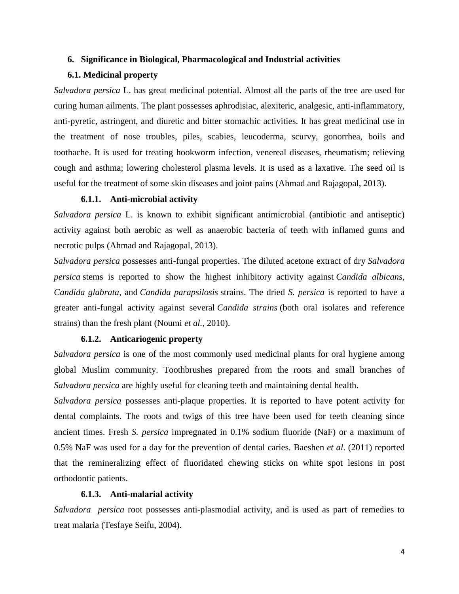## **6. Significance in Biological, Pharmacological and Industrial activities**

# **6.1. Medicinal property**

*Salvadora persica* L. has great medicinal potential. Almost all the parts of the tree are used for curing human ailments. The plant possesses aphrodisiac, alexiteric, analgesic, anti-inflammatory, anti-pyretic, astringent, and diuretic and bitter stomachic activities. It has great medicinal use in the treatment of nose troubles, piles, scabies, leucoderma, scurvy, gonorrhea, boils and toothache. It is used for treating hookworm infection, venereal diseases, rheumatism; relieving cough and asthma; lowering cholesterol plasma levels. It is used as a laxative. The seed oil is useful for the treatment of some skin diseases and joint pains (Ahmad and Rajagopal, 2013).

## **6.1.1. Anti-microbial activity**

*Salvadora persica* L. is known to exhibit significant antimicrobial (antibiotic and antiseptic) activity against both aerobic as well as anaerobic bacteria of teeth with inflamed gums and necrotic pulps (Ahmad and Rajagopal, 2013).

*Salvadora persica* possesses anti-fungal properties. The diluted acetone extract of dry *Salvadora persica* stems is reported to show the highest inhibitory activity against *Candida albicans, Candida glabrata*, and *Candida parapsilosis* strains. The dried *S. persica* is reported to have a greater anti-fungal activity against several *Candida strains* (both oral isolates and reference strains) than the fresh plant (Noumi *et al.,* 2010).

# **6.1.2. Anticariogenic property**

*Salvadora persica* is one of the most commonly used medicinal plants for oral hygiene among global Muslim community. Toothbrushes prepared from the roots and small branches of *Salvadora persica* are highly useful for cleaning teeth and maintaining dental health.

*Salvadora persica* possesses anti-plaque properties. It is reported to have potent activity for dental complaints. The roots and twigs of this tree have been used for teeth cleaning since ancient times. Fresh *S. persica* impregnated in 0.1% sodium fluoride (NaF) or a maximum of 0.5% NaF was used for a day for the prevention of dental caries. Baeshen *et al*. (2011) reported that the remineralizing effect of fluoridated chewing sticks on white spot lesions in post orthodontic patients.

# **6.1.3. Anti-malarial activity**

*Salvadora persica* root possesses anti-plasmodial activity, and is used as part of remedies to treat malaria (Tesfaye Seifu, 2004).